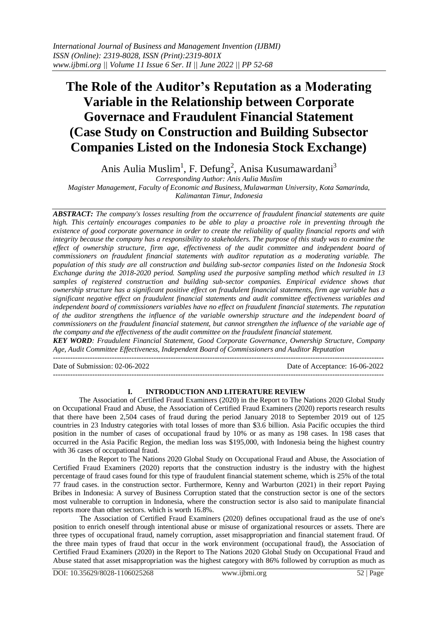# **The Role of the Auditor's Reputation as a Moderating Variable in the Relationship between Corporate Governace and Fraudulent Financial Statement (Case Study on Construction and Building Subsector Companies Listed on the Indonesia Stock Exchange)**

Anis Aulia Muslim<sup>1</sup>, F. Defung<sup>2</sup>, Anisa Kusumawardani<sup>3</sup>

*Corresponding Author: Anis Aulia Muslim*

*Magister Management, Faculty of Economic and Business, Mulawarman University, Kota Samarinda, Kalimantan Timur, Indonesia*

*ABSTRACT: The company's losses resulting from the occurrence of fraudulent financial statements are quite high. This certainly encourages companies to be able to play a proactive role in preventing through the existence of good corporate governance in order to create the reliability of quality financial reports and with integrity because the company has a responsibility to stakeholders. The purpose of this study was to examine the effect of ownership structure, firm age, effectiveness of the audit committee and independent board of commissioners on fraudulent financial statements with auditor reputation as a moderating variable. The population of this study are all construction and building sub-sector companies listed on the Indonesia Stock Exchange during the 2018-2020 period. Sampling used the purposive sampling method which resulted in 13 samples of registered construction and building sub-sector companies. Empirical evidence shows that ownership structure has a significant positive effect on fraudulent financial statements, firm age variable has a significant negative effect on fraudulent financial statements and audit committee effectiveness variables and independent board of commissioners variables have no effect on fraudulent financial statements. The reputation of the auditor strengthens the influence of the variable ownership structure and the independent board of commissioners on the fraudulent financial statement, but cannot strengthen the influence of the variable age of the company and the effectiveness of the audit committee on the fraudulent financial statement.*

*KEY WORD: Fraudulent Financial Statement, Good Corporate Governance, Ownership Structure, Company Age, Audit Committee Effectiveness, Independent Board of Commissioners and Auditor Reputation*

Date of Submission: 02-06-2022 Date of Acceptance: 16-06-2022

---------------------------------------------------------------------------------------------------------------------------------------

---------------------------------------------------------------------------------------------------------------------------------------

# **I. INTRODUCTION AND LITERATURE REVIEW**

The Association of Certified Fraud Examiners (2020) in the Report to The Nations 2020 Global Study on Occupational Fraud and Abuse, the Association of Certified Fraud Examiners (2020) reports research results that there have been 2,504 cases of fraud during the period January 2018 to September 2019 out of 125 countries in 23 Industry categories with total losses of more than \$3.6 billion. Asia Pacific occupies the third position in the number of cases of occupational fraud by 10% or as many as 198 cases. In 198 cases that occurred in the Asia Pacific Region, the median loss was \$195,000, with Indonesia being the highest country with 36 cases of occupational fraud.

In the Report to The Nations 2020 Global Study on Occupational Fraud and Abuse, the Association of Certified Fraud Examiners (2020) reports that the construction industry is the industry with the highest percentage of fraud cases found for this type of fraudulent financial statement scheme, which is 25% of the total 77 fraud cases. in the construction sector. Furthermore, Kenny and Warburton (2021) in their report Paying Bribes in Indonesia: A survey of Business Corruption stated that the construction sector is one of the sectors most vulnerable to corruption in Indonesia, where the construction sector is also said to manipulate financial reports more than other sectors. which is worth 16.8%.

The Association of Certified Fraud Examiners (2020) defines occupational fraud as the use of one's position to enrich oneself through intentional abuse or misuse of organizational resources or assets. There are three types of occupational fraud, namely corruption, asset misappropriation and financial statement fraud. Of the three main types of fraud that occur in the work environment (occupational fraud), the Association of Certified Fraud Examiners (2020) in the Report to The Nations 2020 Global Study on Occupational Fraud and Abuse stated that asset misappropriation was the highest category with 86% followed by corruption as much as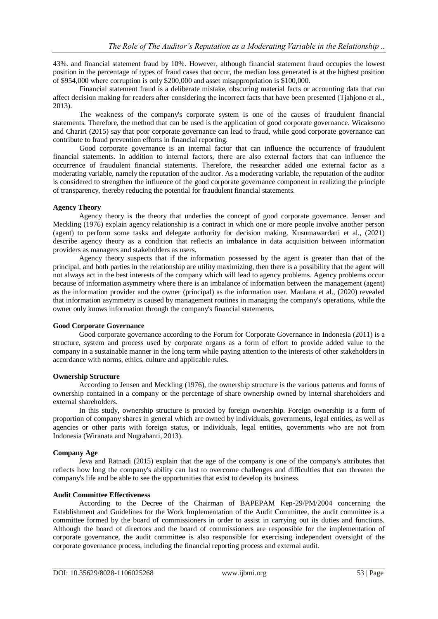43%. and financial statement fraud by 10%. However, although financial statement fraud occupies the lowest position in the percentage of types of fraud cases that occur, the median loss generated is at the highest position of \$954,000 where corruption is only \$200,000 and asset misappropriation is \$100,000.

Financial statement fraud is a deliberate mistake, obscuring material facts or accounting data that can affect decision making for readers after considering the incorrect facts that have been presented (Tjahjono et al., 2013).

The weakness of the company's corporate system is one of the causes of fraudulent financial statements. Therefore, the method that can be used is the application of good corporate governance. Wicaksono and Chariri (2015) say that poor corporate governance can lead to fraud, while good corporate governance can contribute to fraud prevention efforts in financial reporting.

Good corporate governance is an internal factor that can influence the occurrence of fraudulent financial statements. In addition to internal factors, there are also external factors that can influence the occurrence of fraudulent financial statements. Therefore, the researcher added one external factor as a moderating variable, namely the reputation of the auditor. As a moderating variable, the reputation of the auditor is considered to strengthen the influence of the good corporate governance component in realizing the principle of transparency, thereby reducing the potential for fraudulent financial statements.

## **Agency Theory**

Agency theory is the theory that underlies the concept of good corporate governance. Jensen and Meckling (1976) explain agency relationship is a contract in which one or more people involve another person (agent) to perform some tasks and delegate authority for decision making. Kusumawardani et al., (2021) describe agency theory as a condition that reflects an imbalance in data acquisition between information providers as managers and stakeholders as users.

Agency theory suspects that if the information possessed by the agent is greater than that of the principal, and both parties in the relationship are utility maximizing, then there is a possibility that the agent will not always act in the best interests of the company which will lead to agency problems. Agency problems occur because of information asymmetry where there is an imbalance of information between the management (agent) as the information provider and the owner (principal) as the information user. Maulana et al., (2020) revealed that information asymmetry is caused by management routines in managing the company's operations, while the owner only knows information through the company's financial statements.

#### **Good Corporate Governance**

Good corporate governance according to the Forum for Corporate Governance in Indonesia (2011) is a structure, system and process used by corporate organs as a form of effort to provide added value to the company in a sustainable manner in the long term while paying attention to the interests of other stakeholders in accordance with norms, ethics, culture and applicable rules.

#### **Ownership Structure**

According to Jensen and Meckling (1976), the ownership structure is the various patterns and forms of ownership contained in a company or the percentage of share ownership owned by internal shareholders and external shareholders.

In this study, ownership structure is proxied by foreign ownership. Foreign ownership is a form of proportion of company shares in general which are owned by individuals, governments, legal entities, as well as agencies or other parts with foreign status, or individuals, legal entities, governments who are not from Indonesia (Wiranata and Nugrahanti, 2013).

#### **Company Age**

Jeva and Ratnadi (2015) explain that the age of the company is one of the company's attributes that reflects how long the company's ability can last to overcome challenges and difficulties that can threaten the company's life and be able to see the opportunities that exist to develop its business.

#### **Audit Committee Effectiveness**

According to the Decree of the Chairman of BAPEPAM Kep-29/PM/2004 concerning the Establishment and Guidelines for the Work Implementation of the Audit Committee, the audit committee is a committee formed by the board of commissioners in order to assist in carrying out its duties and functions. Although the board of directors and the board of commissioners are responsible for the implementation of corporate governance, the audit committee is also responsible for exercising independent oversight of the corporate governance process, including the financial reporting process and external audit.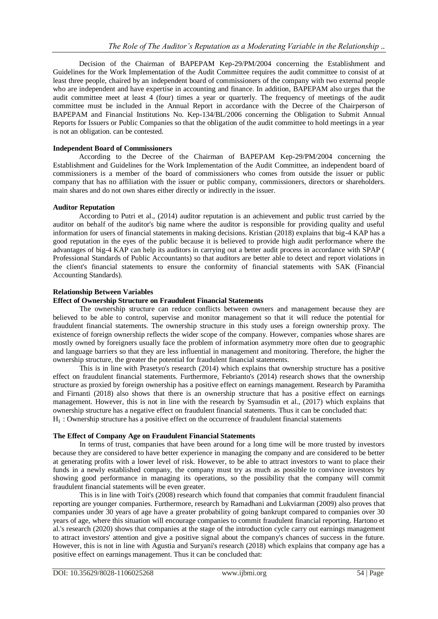Decision of the Chairman of BAPEPAM Kep-29/PM/2004 concerning the Establishment and Guidelines for the Work Implementation of the Audit Committee requires the audit committee to consist of at least three people, chaired by an independent board of commissioners of the company with two external people who are independent and have expertise in accounting and finance. In addition, BAPEPAM also urges that the audit committee meet at least 4 (four) times a year or quarterly. The frequency of meetings of the audit committee must be included in the Annual Report in accordance with the Decree of the Chairperson of BAPEPAM and Financial Institutions No. Kep-134/BL/2006 concerning the Obligation to Submit Annual Reports for Issuers or Public Companies so that the obligation of the audit committee to hold meetings in a year is not an obligation. can be contested.

## **Independent Board of Commissioners**

According to the Decree of the Chairman of BAPEPAM Kep-29/PM/2004 concerning the Establishment and Guidelines for the Work Implementation of the Audit Committee, an independent board of commissioners is a member of the board of commissioners who comes from outside the issuer or public company that has no affiliation with the issuer or public company, commissioners, directors or shareholders. main shares and do not own shares either directly or indirectly in the issuer.

## **Auditor Reputation**

According to Putri et al., (2014) auditor reputation is an achievement and public trust carried by the auditor on behalf of the auditor's big name where the auditor is responsible for providing quality and useful information for users of financial statements in making decisions. Kristian (2018) explains that big-4 KAP has a good reputation in the eyes of the public because it is believed to provide high audit performance where the advantages of big-4 KAP can help its auditors in carrying out a better audit process in accordance with SPAP ( Professional Standards of Public Accountants) so that auditors are better able to detect and report violations in the client's financial statements to ensure the conformity of financial statements with SAK (Financial Accounting Standards).

## **Relationship Between Variables**

## **Effect of Ownership Structure on Fraudulent Financial Statements**

The ownership structure can reduce conflicts between owners and management because they are believed to be able to control, supervise and monitor management so that it will reduce the potential for fraudulent financial statements. The ownership structure in this study uses a foreign ownership proxy. The existence of foreign ownership reflects the wider scope of the company. However, companies whose shares are mostly owned by foreigners usually face the problem of information asymmetry more often due to geographic and language barriers so that they are less influential in management and monitoring. Therefore, the higher the ownership structure, the greater the potential for fraudulent financial statements.

This is in line with Prasetyo's research (2014) which explains that ownership structure has a positive effect on fraudulent financial statements. Furthermore, Febrianto's (2014) research shows that the ownership structure as proxied by foreign ownership has a positive effect on earnings management. Research by Paramitha and Firnanti (2018) also shows that there is an ownership structure that has a positive effect on earnings management. However, this is not in line with the research by Syamsudin et al., (2017) which explains that ownership structure has a negative effect on fraudulent financial statements. Thus it can be concluded that:  $H<sub>1</sub>$ : Ownership structure has a positive effect on the occurrence of fraudulent financial statements

#### **The Effect of Company Age on Fraudulent Financial Statements**

In terms of trust, companies that have been around for a long time will be more trusted by investors because they are considered to have better experience in managing the company and are considered to be better at generating profits with a lower level of risk. However, to be able to attract investors to want to place their funds in a newly established company, the company must try as much as possible to convince investors by showing good performance in managing its operations, so the possibility that the company will commit fraudulent financial statements will be even greater.

This is in line with Toit's (2008) research which found that companies that commit fraudulent financial reporting are younger companies. Furthermore, research by Ramadhani and Lukviarman (2009) also proves that companies under 30 years of age have a greater probability of going bankrupt compared to companies over 30 years of age, where this situation will encourage companies to commit fraudulent financial reporting. Hartono et al.'s research (2020) shows that companies at the stage of the introduction cycle carry out earnings management to attract investors' attention and give a positive signal about the company's chances of success in the future. However, this is not in line with Agustia and Suryani's research (2018) which explains that company age has a positive effect on earnings management. Thus it can be concluded that: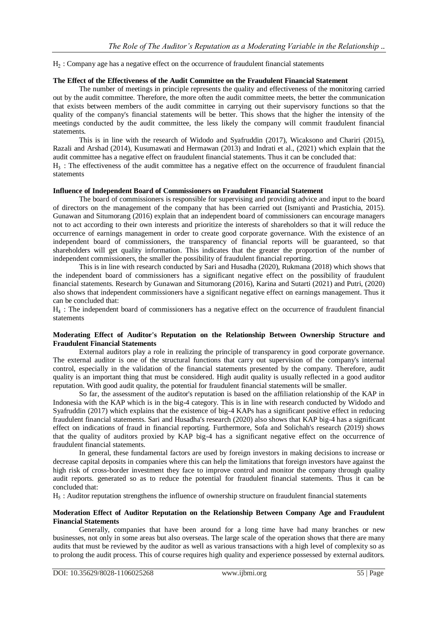$H<sub>2</sub>$ : Company age has a negative effect on the occurrence of fraudulent financial statements

#### **The Effect of the Effectiveness of the Audit Committee on the Fraudulent Financial Statement**

The number of meetings in principle represents the quality and effectiveness of the monitoring carried out by the audit committee. Therefore, the more often the audit committee meets, the better the communication that exists between members of the audit committee in carrying out their supervisory functions so that the quality of the company's financial statements will be better. This shows that the higher the intensity of the meetings conducted by the audit committee, the less likely the company will commit fraudulent financial statements.

This is in line with the research of Widodo and Syafruddin (2017), Wicaksono and Chariri (2015), Razali and Arshad (2014), Kusumawati and Hermawan (2013) and Indrati et al., (2021) which explain that the audit committee has a negative effect on fraudulent financial statements. Thus it can be concluded that:

 $H_3$ : The effectiveness of the audit committee has a negative effect on the occurrence of fraudulent financial statements

#### **Influence of Independent Board of Commissioners on Fraudulent Financial Statement**

The board of commissioners is responsible for supervising and providing advice and input to the board of directors on the management of the company that has been carried out (Ismiyanti and Prastichia, 2015). Gunawan and Situmorang (2016) explain that an independent board of commissioners can encourage managers not to act according to their own interests and prioritize the interests of shareholders so that it will reduce the occurrence of earnings management in order to create good corporate governance. With the existence of an independent board of commissioners, the transparency of financial reports will be guaranteed, so that shareholders will get quality information. This indicates that the greater the proportion of the number of independent commissioners, the smaller the possibility of fraudulent financial reporting.

This is in line with research conducted by Sari and Husadha (2020), Rukmana (2018) which shows that the independent board of commissioners has a significant negative effect on the possibility of fraudulent financial statements. Research by Gunawan and Situmorang (2016), Karina and Sutarti (2021) and Putri, (2020) also shows that independent commissioners have a significant negative effect on earnings management. Thus it can be concluded that:

 $H<sub>4</sub>$ : The independent board of commissioners has a negative effect on the occurrence of fraudulent financial statements

## **Moderating Effect of Auditor's Reputation on the Relationship Between Ownership Structure and Fraudulent Financial Statements**

External auditors play a role in realizing the principle of transparency in good corporate governance. The external auditor is one of the structural functions that carry out supervision of the company's internal control, especially in the validation of the financial statements presented by the company. Therefore, audit quality is an important thing that must be considered. High audit quality is usually reflected in a good auditor reputation. With good audit quality, the potential for fraudulent financial statements will be smaller.

So far, the assessment of the auditor's reputation is based on the affiliation relationship of the KAP in Indonesia with the KAP which is in the big-4 category. This is in line with research conducted by Widodo and Syafruddin (2017) which explains that the existence of big-4 KAPs has a significant positive effect in reducing fraudulent financial statements. Sari and Husadha's research (2020) also shows that KAP big-4 has a significant effect on indications of fraud in financial reporting. Furthermore, Sofa and Solichah's research (2019) shows that the quality of auditors proxied by KAP big-4 has a significant negative effect on the occurrence of fraudulent financial statements.

In general, these fundamental factors are used by foreign investors in making decisions to increase or decrease capital deposits in companies where this can help the limitations that foreign investors have against the high risk of cross-border investment they face to improve control and monitor the company through quality audit reports. generated so as to reduce the potential for fraudulent financial statements. Thus it can be concluded that:

 $H_5$ : Auditor reputation strengthens the influence of ownership structure on fraudulent financial statements

#### **Moderation Effect of Auditor Reputation on the Relationship Between Company Age and Fraudulent Financial Statements**

Generally, companies that have been around for a long time have had many branches or new businesses, not only in some areas but also overseas. The large scale of the operation shows that there are many audits that must be reviewed by the auditor as well as various transactions with a high level of complexity so as to prolong the audit process. This of course requires high quality and experience possessed by external auditors.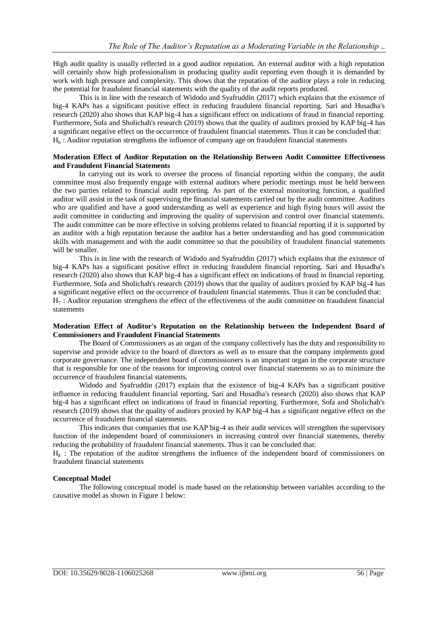High audit quality is usually reflected in a good auditor reputation. An external auditor with a high reputation will certainly show high professionalism in producing quality audit reporting even though it is demanded by work with high pressure and complexity. This shows that the reputation of the auditor plays a role in reducing the potential for fraudulent financial statements with the quality of the audit reports produced.

This is in line with the research of Widodo and Syafruddin (2017) which explains that the existence of big-4 KAPs has a significant positive effect in reducing fraudulent financial reporting. Sari and Husadha's research (2020) also shows that KAP big-4 has a significant effect on indications of fraud in financial reporting. Furthermore, Sofa and Sholichah's research (2019) shows that the quality of auditors proxied by KAP big-4 has a significant negative effect on the occurrence of fraudulent financial statements. Thus it can be concluded that:  $H<sub>6</sub>$ : Auditor reputation strengthens the influence of company age on fraudulent financial statements

#### **Moderation Effect of Auditor Reputation on the Relationship Between Audit Committee Effectiveness and Fraudulent Financial Statements**

In carrying out its work to oversee the process of financial reporting within the company, the audit committee must also frequently engage with external auditors where periodic meetings must be held between the two parties related to financial audit reporting. As part of the external monitoring function, a qualified auditor will assist in the task of supervising the financial statements carried out by the audit committee. Auditors who are qualified and have a good understanding as well as experience and high flying hours will assist the audit committee in conducting and improving the quality of supervision and control over financial statements. The audit committee can be more effective in solving problems related to financial reporting if it is supported by an auditor with a high reputation because the auditor has a better understanding and has good communication skills with management and with the audit committee so that the possibility of fraudulent financial statements will be smaller.

This is in line with the research of Widodo and Syafruddin (2017) which explains that the existence of big-4 KAPs has a significant positive effect in reducing fraudulent financial reporting. Sari and Husadha's research (2020) also shows that KAP big-4 has a significant effect on indications of fraud in financial reporting. Furthermore, Sofa and Sholichah's research (2019) shows that the quality of auditors proxied by KAP big-4 has a significant negative effect on the occurrence of fraudulent financial statements. Thus it can be concluded that:  $H_7$ : Auditor reputation strengthens the effect of the effectiveness of the audit committee on fraudulent financial statements

#### **Moderation Effect of Auditor's Reputation on the Relationship between the Independent Board of Commissioners and Fraudulent Financial Statements**

The Board of Commissioners as an organ of the company collectively has the duty and responsibility to supervise and provide advice to the board of directors as well as to ensure that the company implements good corporate governance. The independent board of commissioners is an important organ in the corporate structure that is responsible for one of the reasons for improving control over financial statements so as to minimize the occurrence of fraudulent financial statements.

Widodo and Syafruddin (2017) explain that the existence of big-4 KAPs has a significant positive influence in reducing fraudulent financial reporting. Sari and Husadha's research (2020) also shows that KAP big-4 has a significant effect on indications of fraud in financial reporting. Furthermore, Sofa and Sholichah's research (2019) shows that the quality of auditors proxied by KAP big-4 has a significant negative effect on the occurrence of fraudulent financial statements.

This indicates that companies that use KAP big-4 as their audit services will strengthen the supervisory function of the independent board of commissioners in increasing control over financial statements, thereby reducing the probability of fraudulent financial statements. Thus it can be concluded that:

 $H_8$ : The reputation of the auditor strengthens the influence of the independent board of commissioners on fraudulent financial statements

## **Conceptual Model**

The following conceptual model is made based on the relationship between variables according to the causative model as shown in Figure 1 below: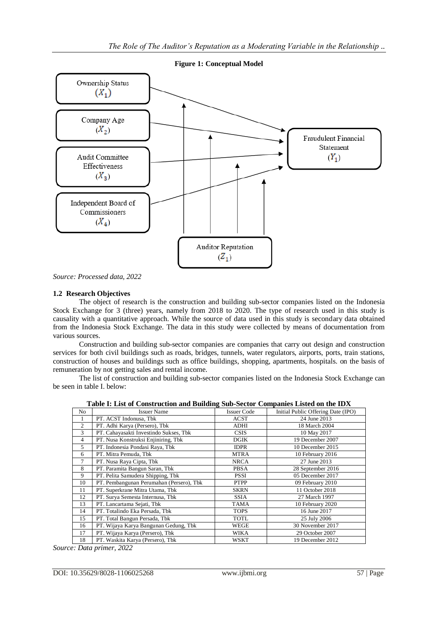

**Figure 1: Conceptual Model**

*Source: Processed data, 2022*

## **1.2 Research Objectives**

The object of research is the construction and building sub-sector companies listed on the Indonesia Stock Exchange for 3 (three) years, namely from 2018 to 2020. The type of research used in this study is causality with a quantitative approach. While the source of data used in this study is secondary data obtained from the Indonesia Stock Exchange. The data in this study were collected by means of documentation from various sources.

Construction and building sub-sector companies are companies that carry out design and construction services for both civil buildings such as roads, bridges, tunnels, water regulators, airports, ports, train stations, construction of houses and buildings such as office buildings, shopping, apartments, hospitals. on the basis of remuneration by not getting sales and rental income.

The list of construction and building sub-sector companies listed on the Indonesia Stock Exchange can be seen in table I. below:

**Table I: List of Construction and Building Sub-Sector Companies Listed on the IDX**

|                | tole 1. End of Conset action and Dunding Sub-Sector Companies Ensied on the IDTL |                    |                                    |  |  |  |  |  |
|----------------|----------------------------------------------------------------------------------|--------------------|------------------------------------|--|--|--|--|--|
| No             | <b>Issuer Name</b>                                                               | <b>Issuer Code</b> | Initial Public Offering Date (IPO) |  |  |  |  |  |
|                | PT. ACST Indonusa, Tbk                                                           | ACST               | 24 June 2013                       |  |  |  |  |  |
| $\overline{c}$ | PT. Adhi Karya (Persero), Tbk                                                    | ADHI               | 18 March 2004                      |  |  |  |  |  |
| 3              | PT. Cahayasakti Investindo Sukses, Tbk                                           | <b>CSIS</b>        | 10 May 2017                        |  |  |  |  |  |
| $\overline{4}$ | PT. Nusa Konstruksi Enjiniring, Tbk                                              | <b>DGIK</b>        | 19 December 2007                   |  |  |  |  |  |
| 5              | PT. Indonesia Pondasi Raya, Tbk                                                  | <b>IDPR</b>        | 10 December 2015                   |  |  |  |  |  |
| 6              | PT. Mitra Pemuda, Tbk                                                            | <b>MTRA</b>        | 10 February 2016                   |  |  |  |  |  |
| 7              | PT. Nusa Raya Cipta, Tbk                                                         | NRCA               | 27 June 2013                       |  |  |  |  |  |
| 8              | PT. Paramita Bangun Saran, Tbk                                                   | <b>PBSA</b>        | 28 September 2016                  |  |  |  |  |  |
| 9              | PT. Pelita Samudera Shipping, Tbk                                                | <b>PSSI</b>        | 05 December 2017                   |  |  |  |  |  |
| 10             | PT. Pembangunan Perumahan (Persero), Tbk                                         | <b>PTPP</b>        | 09 February 2010                   |  |  |  |  |  |
| 11             | PT. Superkrane Mitra Utama, Tbk                                                  | <b>SKRN</b>        | 11 October 2018                    |  |  |  |  |  |
| 12             | PT. Surya Semesta Internusa, Tbk                                                 | <b>SSIA</b>        | 27 March 1997                      |  |  |  |  |  |
| 13             | PT. Lancartama Sejati, Tbk                                                       | TAMA               | 10 February 2020                   |  |  |  |  |  |
| 14             | PT. Totalindo Eka Persada, Tbk                                                   | <b>TOPS</b>        | 16 June 2017                       |  |  |  |  |  |
| 15             | PT. Total Bangun Persada, Tbk                                                    | TOTL               | 25 July 2006                       |  |  |  |  |  |
| 16             | PT. Wijaya Karya Bangunan Gedung, Tbk                                            | WEGE               | 30 November 2017                   |  |  |  |  |  |
| 17             | PT. Wijaya Karya (Persero), Tbk                                                  | WIKA               | 29 October 2007                    |  |  |  |  |  |
| 18             | PT. Waskita Karya (Persero), Tbk                                                 | WSKT               | 19 December 2012                   |  |  |  |  |  |

*Source: Data primer, 2022*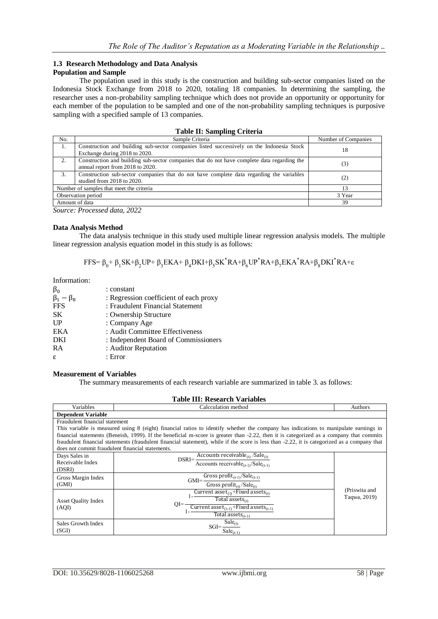#### **1.3 Research Methodology and Data Analysis Population and Sample**

The population used in this study is the construction and building sub-sector companies listed on the Indonesia Stock Exchange from 2018 to 2020, totaling 18 companies. In determining the sampling, the researcher uses a non-probability sampling technique which does not provide an opportunity or opportunity for each member of the population to be sampled and one of the non-probability sampling techniques is purposive sampling with a specified sample of 13 companies.

|  |  |  |  | Table II: Sampling Criteria |
|--|--|--|--|-----------------------------|
|--|--|--|--|-----------------------------|

| No.                                      | Sample Criteria                                                                                                                 | Number of Companies |
|------------------------------------------|---------------------------------------------------------------------------------------------------------------------------------|---------------------|
| 1.                                       | Construction and building sub-sector companies listed successively on the Indonesia Stock<br>Exchange during 2018 to 2020.      | 18                  |
| 2.                                       | Construction and building sub-sector companies that do not have complete data regarding the<br>annual report from 2018 to 2020. | (3)                 |
| 3.                                       | Construction sub-sector companies that do not have complete data regarding the variables<br>studied from 2018 to 2020.          | (2)                 |
| Number of samples that meet the criteria |                                                                                                                                 | 13                  |
| Observation period                       |                                                                                                                                 | 3 Year              |
|                                          | Amount of data                                                                                                                  | 39                  |

*Source: Processed data, 2022*

## **Data Analysis Method**

The data analysis technique in this study used multiple linear regression analysis models. The multiple linear regression analysis equation model in this study is as follows:

$$
FFS = \beta_0 + \beta_1 SK + \beta_2 UP + \beta_3 EKA + \beta_4 DKI + \beta_5 SK^* RA + \beta_6 UP^* RA + \beta_7 EKA^* RA + \beta_8 DKI^* RA + \epsilon
$$

Information:

| $\beta_0$           | : constant                             |
|---------------------|----------------------------------------|
| $\beta_1 - \beta_8$ | : Regression coefficient of each proxy |
| <b>FFS</b>          | : Fraudulent Financial Statement       |
| <b>SK</b>           | : Ownership Structure                  |
| $_{\rm UP}$         | : Company Age                          |
| EKA                 | : Audit Committee Effectiveness        |
| DKI                 | : Independent Board of Commissioners   |
| <b>RA</b>           | : Auditor Reputation                   |
| ε                   | : Error                                |

#### **Measurement of Variables**

The summary measurements of each research variable are summarized in table 3. as follows:

## **Table III: Research Variables**

| Variables                                        | Calcculation method                                                                                                                          | Authors       |  |  |
|--------------------------------------------------|----------------------------------------------------------------------------------------------------------------------------------------------|---------------|--|--|
| <b>Dependent Variable</b>                        |                                                                                                                                              |               |  |  |
| Fraudulent financial statement                   |                                                                                                                                              |               |  |  |
|                                                  | This variable is measured using 8 (eight) financial ratios to identify whether the company has indications to manipulate earnings in         |               |  |  |
|                                                  | financial statements (Beneish, 1999). If the beneficial m-score is greater than -2.22, then it is categorized as a company that commits      |               |  |  |
|                                                  | fraudulent financial statements (fraudulent financial statement), while if the score is less than -2.22, it is categorized as a company that |               |  |  |
| does not commit fraudulent financial statements. |                                                                                                                                              |               |  |  |
| Days Sales in                                    | Accounts receivable <sub>(t)</sub> /Sale <sub>(t)</sub><br>$DSRI = -$                                                                        |               |  |  |
| Receivable Index                                 | Accounts receivable <sub>(t-1)</sub> /Sale <sub>(t-1)</sub>                                                                                  |               |  |  |
| (DSRI)                                           |                                                                                                                                              |               |  |  |
| Gross Margin Index                               | Gross $\overline{\text{profit}}_{(t-1)}/\text{Safe}_{(t-1)}$<br>$GMI = -$                                                                    |               |  |  |
| (GMI)                                            | Gross profit $_{(t)}$ /Sale $_{(t)}$                                                                                                         |               |  |  |
|                                                  | Current asset <sub>(t)</sub> +Fixed assets <sub>(t)</sub>                                                                                    | (Priswita and |  |  |
| <b>Asset Ouality Index</b>                       | Total assets $_{(t)}$                                                                                                                        | Taqwa, 2019)  |  |  |
| (AQI)                                            | $O = -$<br>Current asset <sub>(t-1)</sub> +Fixed assets <sub>(t-1)</sub>                                                                     |               |  |  |
|                                                  | Total assets $(t-1)$                                                                                                                         |               |  |  |
| Sales Growth Index                               | $\overline{\text{S}}$ ale <sub>(t)</sub>                                                                                                     |               |  |  |
| $SGI =$<br>(SGI)<br>$\text{Sale}_{(t-1)}$        |                                                                                                                                              |               |  |  |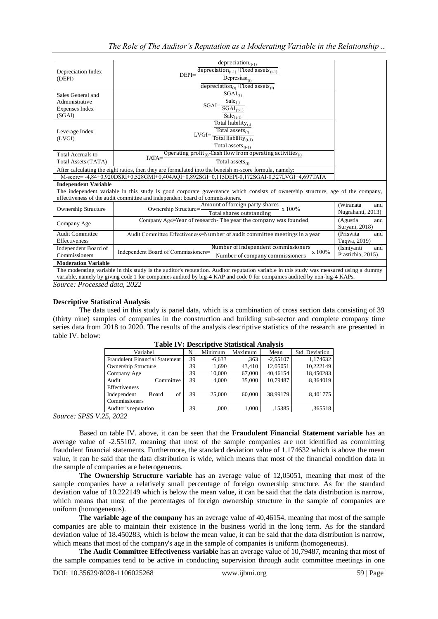|                             | $deprecision_{(t-1)}$                                                                                                                   |                   |
|-----------------------------|-----------------------------------------------------------------------------------------------------------------------------------------|-------------------|
| Depreciation Index          | depreciation <sub>(t-1)</sub> +Fixed assets <sub>(t-1)</sub><br>$DEPI = -$                                                              |                   |
| (DEPI)                      | Depresiasi <sub>(t)</sub>                                                                                                               |                   |
|                             | depreciation <sub>(t)</sub> +Fixed assets <sub>(t)</sub>                                                                                |                   |
| Sales General and           | $SGAI_{(t)}$                                                                                                                            |                   |
| Administrative              | $\overline{\text{ Sale}}_{(t)}$                                                                                                         |                   |
| Expenses Index              | $\text{SGAI} \text{=} \frac{\text{SGAI}_{\text{(t-1)}}}{\text{SGAI}_{\text{(t-1)}}}$                                                    |                   |
| (SGAI)                      | $\overline{\text{Sale}_{(t-1)}}$                                                                                                        |                   |
|                             | Total liability $_{(t)}$                                                                                                                |                   |
| Leverage Index              | Total assets $_{(t)}$                                                                                                                   |                   |
| (LVGI)                      | $\text{LVGI}\text{=}\frac{\text{Total liability}_{\text{(t-1)}}}{\text{Total liability}_{\text{(t-1)}}}$                                |                   |
|                             | Total assets $_{(t-1)}$                                                                                                                 |                   |
| <b>Total Accruals to</b>    | Operating profit <sub>(t)</sub> -Cash flow from operating activities <sub>(t)</sub>                                                     |                   |
| Total Assets (TATA)         | $TATA = -$<br>Total assets $_{(t)}$                                                                                                     |                   |
|                             | After calculating the eight ratios, then they are formulated into the beneish m-score formula, namely:                                  |                   |
|                             | M-score=-4.84+0.920DSRI+0.528GMI+0.404AOI+0.892SGI+0.115DEPI-0.172SGAI-0.327LVGI+4.697TATA                                              |                   |
| <b>Independent Variable</b> |                                                                                                                                         |                   |
|                             | The independent variable in this study is good corporate governance which consists of ownership structure, age of the company,          |                   |
|                             | effectiveness of the audit committee and independent board of commissioners.                                                            |                   |
| Ownership Structure         | Amount of foreign party shares<br>Ownership Structure=<br>$- x 100\%$                                                                   | (Wiranata<br>and  |
|                             | Total shares outstanding                                                                                                                | Nugrahanti, 2013) |
| Company Age                 | Company Age=Year of research- The year the company was founded                                                                          | (Agustia<br>and   |
|                             |                                                                                                                                         | Suryani, 2018)    |
| <b>Audit Committee</b>      | Audit Committee Effectiveness=Number of audit committee meetings in a year                                                              | (Priswita<br>and  |
| Effectiveness               |                                                                                                                                         | Taqwa, 2019)      |
| Independent Board of        | Number of independent commissioners<br>Independent Board of Commissioners=<br>$- x 100\%$<br>Number of company commissioners            | (Ismiyanti<br>and |
| Commissioners               | Prastichia, 2015)                                                                                                                       |                   |
| <b>Moderation Variable</b>  |                                                                                                                                         |                   |
|                             | The moderating variable in this study is the auditor's reputation. Auditor reputation variable in this study was measured using a dummy |                   |
|                             | variable, namely by giving code 1 for companies audited by big-4 KAP and code 0 for companies audited by non-big-4 KAPs.                |                   |

*Source: Processed data, 2022*

#### **Descriptive Statistical Analysis**

The data used in this study is panel data, which is a combination of cross section data consisting of 39 (thirty nine) samples of companies in the construction and building sub-sector and complete company time series data from 2018 to 2020. The results of the analysis descriptive statistics of the research are presented in table IV. below:

| Variabel                              | N  | Minimum  | Maximum | Mean       | Std. Deviation |
|---------------------------------------|----|----------|---------|------------|----------------|
| <b>Fraudulent Financial Statement</b> | 39 | $-6,633$ | .363    | $-2,55107$ | 1,174632       |
| <b>Ownership Structure</b>            | 39 | 1,690    | 43,410  | 12,05051   | 10.222149      |
| Company Age                           | 39 | 10,000   | 67,000  | 40.46154   | 18,450283      |
| Committee<br>Audit                    | 39 | 4,000    | 35,000  | 10.79487   | 8.364019       |
| Effectiveness                         |    |          |         |            |                |
| of<br>Independent<br>Board            | 39 | 25,000   | 60,000  | 38.99179   | 8.401775       |
| Commissioners                         |    |          |         |            |                |
| Auditor's reputation                  | 39 | .000     | 1,000   | ,15385     | ,365518        |

| <b>Table IV: Descriptive Statistical Analysis</b> |
|---------------------------------------------------|
|---------------------------------------------------|

*Source: SPSS V.25, 2022*

Based on table IV. above, it can be seen that the **Fraudulent Financial Statement variable** has an average value of -2.55107, meaning that most of the sample companies are not identified as committing fraudulent financial statements. Furthermore, the standard deviation value of 1.174632 which is above the mean value, it can be said that the data distribution is wide, which means that most of the financial condition data in the sample of companies are heterogeneous.

**The Ownership Structure variable** has an average value of 12,05051, meaning that most of the sample companies have a relatively small percentage of foreign ownership structure. As for the standard deviation value of 10.222149 which is below the mean value, it can be said that the data distribution is narrow, which means that most of the percentages of foreign ownership structure in the sample of companies are uniform (homogeneous).

**The variable age of the company** has an average value of 40,46154, meaning that most of the sample companies are able to maintain their existence in the business world in the long term. As for the standard deviation value of 18.450283, which is below the mean value, it can be said that the data distribution is narrow, which means that most of the company's age in the sample of companies is uniform (homogeneous).

**The Audit Committee Effectiveness variable** has an average value of 10,79487, meaning that most of the sample companies tend to be active in conducting supervision through audit committee meetings in one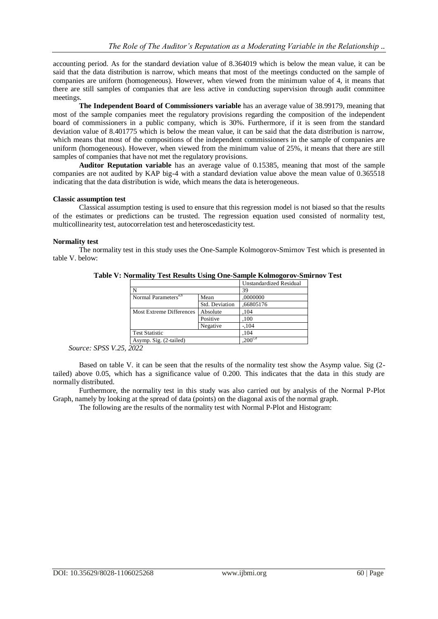accounting period. As for the standard deviation value of 8.364019 which is below the mean value, it can be said that the data distribution is narrow, which means that most of the meetings conducted on the sample of companies are uniform (homogeneous). However, when viewed from the minimum value of 4, it means that there are still samples of companies that are less active in conducting supervision through audit committee meetings.

**The Independent Board of Commissioners variable** has an average value of 38.99179, meaning that most of the sample companies meet the regulatory provisions regarding the composition of the independent board of commissioners in a public company, which is 30%. Furthermore, if it is seen from the standard deviation value of 8.401775 which is below the mean value, it can be said that the data distribution is narrow, which means that most of the compositions of the independent commissioners in the sample of companies are uniform (homogeneous). However, when viewed from the minimum value of 25%, it means that there are still samples of companies that have not met the regulatory provisions.

**Auditor Reputation variable** has an average value of 0.15385, meaning that most of the sample companies are not audited by KAP big-4 with a standard deviation value above the mean value of 0.365518 indicating that the data distribution is wide, which means the data is heterogeneous.

#### **Classic assumption test**

Classical assumption testing is used to ensure that this regression model is not biased so that the results of the estimates or predictions can be trusted. The regression equation used consisted of normality test, multicollinearity test, autocorrelation test and heteroscedasticity test.

## **Normality test**

The normality test in this study uses the One-Sample Kolmogorov-Smirnov Test which is presented in table V. below:

|                                  |                | Unstandardized Residual |  |  |
|----------------------------------|----------------|-------------------------|--|--|
| N                                |                | 39                      |  |  |
| Normal Parameters <sup>a,b</sup> | Mean           | ,0000000                |  |  |
|                                  | Std. Deviation | ,66805176               |  |  |
| Most Extreme Differences         | Absolute       | .104                    |  |  |
|                                  | Positive       | ,100                    |  |  |
|                                  | Negative       | $-104$                  |  |  |
| <b>Test Statistic</b>            |                | .104                    |  |  |
| Asymp. Sig. (2-tailed)           |                | $200^{\text{c,d}}$      |  |  |

**Table V: Normality Test Results Using One-Sample Kolmogorov-Smirnov Test**

*Source: SPSS V.25, 2022*

Based on table V. it can be seen that the results of the normality test show the Asymp value. Sig (2 tailed) above 0.05, which has a significance value of 0.200. This indicates that the data in this study are normally distributed.

Furthermore, the normality test in this study was also carried out by analysis of the Normal P-Plot Graph, namely by looking at the spread of data (points) on the diagonal axis of the normal graph.

The following are the results of the normality test with Normal P-Plot and Histogram: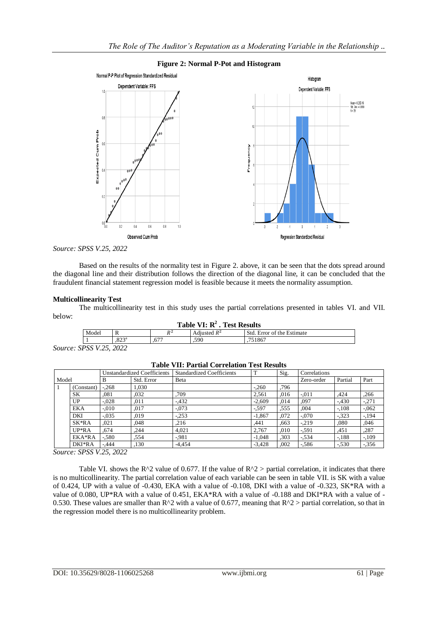

#### **Figure 2: Normal P-Pot and Histogram**

*Source: SPSS V.25, 2022*

Based on the results of the normality test in Figure 2. above, it can be seen that the dots spread around the diagonal line and their distribution follows the direction of the diagonal line, it can be concluded that the fraudulent financial statement regression model is feasible because it meets the normality assumption.

#### **Multicollinearity Test**

The multicollinearity test in this study uses the partial correlations presented in tables VI. and VII. below:

| Table VI: $R^2$ . Test Results |  |  |  |
|--------------------------------|--|--|--|
|--------------------------------|--|--|--|

|                   | ---------<br>--------------------- |                          |                                 |                                                                                   |                                  |  |
|-------------------|------------------------------------|--------------------------|---------------------------------|-----------------------------------------------------------------------------------|----------------------------------|--|
| Model<br>$\bf{v}$ |                                    |                          | DZ<br>                          | $\cdot$<br>D <sup>2</sup><br>Std.<br>Estimate<br>Error<br>the<br>Adjusted R<br>O1 |                                  |  |
|                   |                                    | 00 <sub>0</sub><br>د ے ہ | $\overline{\phantom{a}}$<br>.0/ | .590                                                                              | $\overline{\phantom{a}}$<br>180. |  |
| $\theta$          |                                    |                          |                                 |                                                                                   |                                  |  |

*Source: SPSS V.25, 2022*

|       |            | <b>Unstandardized Coefficients</b> |            | <b>Standardized Coefficients</b> | T        | Sig. | Correlations |         |          |
|-------|------------|------------------------------------|------------|----------------------------------|----------|------|--------------|---------|----------|
| Model |            | B                                  | Std. Error | Beta                             |          |      | Zero-order   | Partial | Part     |
|       | (Constant) | $-268$                             | 1.030      |                                  | $-260$   | .796 |              |         |          |
|       | SK         | .081                               | ,032       | .709                             | 2,561    | .016 | $-.011$      | ,424    | .266     |
|       | UP         | $-.028$                            | .011       | $-432$                           | $-2.609$ | .014 | ,097         | $-.430$ | $-.271$  |
|       | <b>EKA</b> | $-.010$                            | ,017       | $-.073$                          | $-597$   | .555 | .004         | $-.108$ | $-0.062$ |
|       | DKI        | $-.035$                            | .019       | $-253$                           | $-1.867$ | .072 | $-.070$      | $-323$  | $-194$   |
|       | SK*RA      | .021                               | .048       | ,216                             | .441     | .663 | $-.219$      | .080    | .046     |
|       | $UP*RA$    | .674                               | .244       | 4.021                            | 2.767    | .010 | $-0.591$     | .451    | .287     |
|       | EKA*RA     | $-580$                             | .554       | $-981$                           | $-1.048$ | .303 | $-.534$      | $-188$  | $-109$   |
|       | DKI*RA     | $-444$                             | ,130       | $-4.454$                         | $-3.428$ | .002 | $-586$       | $-.530$ | $-356$   |

#### **Table VII: Partial Correlation Test Results**

*Source: SPSS V.25, 2022*

Table VI. shows the R^2 value of 0.677. If the value of R^2 > partial correlation, it indicates that there is no multicollinearity. The partial correlation value of each variable can be seen in table VII. is SK with a value of 0.424, UP with a value of -0.430, EKA with a value of -0.108, DKI with a value of -0.323, SK\*RA with a value of 0.080, UP\*RA with a value of 0.451, EKA\*RA with a value of -0.188 and DKI\*RA with a value of - 0.530. These values are smaller than  $R^2$  with a value of 0.677, meaning that  $R^2$  > partial correlation, so that in the regression model there is no multicollinearity problem.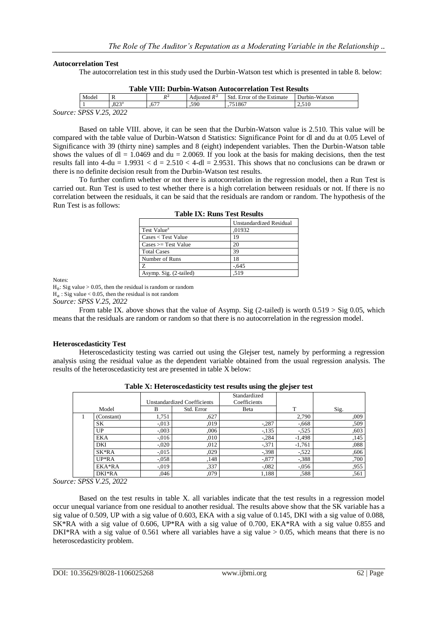#### **Autocorrelation Test**

The autocorrelation test in this study used the Durbin-Watson test which is presented in table 8. below:

|                                | <b>Table VIII: Durbin-Watson Autocorrelation Test Results</b> |                     |                |                |                            |               |  |  |
|--------------------------------|---------------------------------------------------------------|---------------------|----------------|----------------|----------------------------|---------------|--|--|
|                                | Model                                                         |                     | p <sup>2</sup> | Adjusted $R^2$ | Std. Error of the Estimate | Durbin-Watson |  |  |
|                                |                                                               | $.823$ <sup>a</sup> | .671           | .590           | .751867                    | 2.510         |  |  |
| <i>Source: SPSS V.25, 2022</i> |                                                               |                     |                |                |                            |               |  |  |

Based on table VIII. above, it can be seen that the Durbin-Watson value is 2.510. This value will be compared with the table value of Durbin-Watson d Statistics: Significance Point for dl and du at 0.05 Level of Significance with 39 (thirty nine) samples and 8 (eight) independent variables. Then the Durbin-Watson table shows the values of  $dl = 1.0469$  and  $du = 2.0069$ . If you look at the basis for making decisions, then the test results fall into  $4\text{-}du = 1.9931 < d = 2.510 < 4\text{-}dl = 2.9531$ . This shows that no conclusions can be drawn or there is no definite decision result from the Durbin-Watson test results.

To further confirm whether or not there is autocorrelation in the regression model, then a Run Test is carried out. Run Test is used to test whether there is a high correlation between residuals or not. If there is no correlation between the residuals, it can be said that the residuals are random or random. The hypothesis of the Run Test is as follows:

|                                       | Unstandardized Residual |
|---------------------------------------|-------------------------|
| Test Value <sup>a</sup>               | ,01932                  |
| $\text{Cases} < \text{Test Value}$    | 19                      |
| $\text{Cases} \geq \text{Test Value}$ | 20                      |
| <b>Total Cases</b>                    | 39                      |
| Number of Runs                        | 18                      |
| Z                                     | $-645$                  |
| Asymp. Sig. (2-tailed)                | .519                    |

|  |  |  |  | <b>Table IX: Runs Test Results</b> |
|--|--|--|--|------------------------------------|
|--|--|--|--|------------------------------------|

Notes:

 $H_0$ : Sig value > 0.05, then the residual is random or random

 $H_a$ : Sig value < 0.05, then the residual is not random

*Source: SPSS V.25, 2022*

From table IX. above shows that the value of Asymp. Sig (2-tailed) is worth  $0.519 > Sig 0.05$ , which means that the residuals are random or random so that there is no autocorrelation in the regression model.

#### **Heteroscedasticity Test**

Heteroscedasticity testing was carried out using the Glejser test, namely by performing a regression analysis using the residual value as the dependent variable obtained from the usual regression analysis. The results of the heteroscedasticity test are presented in table X below:

|  |            |                                    |            | Standardized |          |      |
|--|------------|------------------------------------|------------|--------------|----------|------|
|  |            | <b>Unstandardized Coefficients</b> |            | Coefficients |          |      |
|  | Model      | B                                  | Std. Error | Beta         | т        | Sig. |
|  | (Constant) | 1,751                              | ,627       |              | 2,790    | ,009 |
|  | SK         | $-0.013$                           | ,019       | $-.287$      | $-0.668$ | ,509 |
|  | UP.        | $-.003$                            | ,006       | $-135$       | $-.525$  | ,603 |
|  | EKA        | $-0.016$                           | ,010       | $-.284$      | $-1,498$ | ,145 |
|  | DKI        | $-.020$                            | .012       | $-371$       | $-1,761$ | .088 |
|  | SK*RA      | $-0.015$                           | ,029       | $-398$       | $-522$   | ,606 |
|  | $UP*RA$    | $-.058$                            | ,148       | $-.877$      | $-388$   | ,700 |
|  | EKA*RA     | $-0.019$                           | ,337       | $-.082$      | $-0.056$ | ,955 |
|  | DKI*RA     | ,046                               | ,079       | 1,188        | .588     | ,561 |

**Table X: Heteroscedasticity test results using the glejser test**

*Source: SPSS V.25, 2022*

Based on the test results in table X. all variables indicate that the test results in a regression model occur unequal variance from one residual to another residual. The results above show that the SK variable has a sig value of 0.509, UP with a sig value of 0.603, EKA with a sig value of 0.145, DKI with a sig value of 0.088, SK\*RA with a sig value of 0.606, UP\*RA with a sig value of 0.700, EKA\*RA with a sig value 0.855 and DKI\*RA with a sig value of 0.561 where all variables have a sig value  $> 0.05$ , which means that there is no heteroscedasticity problem.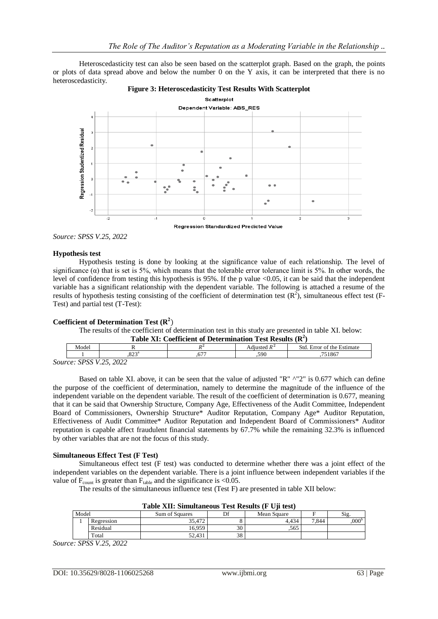Heteroscedasticity test can also be seen based on the scatterplot graph. Based on the graph, the points or plots of data spread above and below the number 0 on the Y axis, it can be interpreted that there is no heteroscedasticity.



**Regression Standardized Predicted Value** 

*Source: SPSS V.25, 2022*

#### **Hypothesis test**

Hypothesis testing is done by looking at the significance value of each relationship. The level of significance ( $\alpha$ ) that is set is 5%, which means that the tolerable error tolerance limit is 5%. In other words, the level of confidence from testing this hypothesis is 95%. If the p value <0.05, it can be said that the independent variable has a significant relationship with the dependent variable. The following is attached a resume of the results of hypothesis testing consisting of the coefficient of determination test  $(R^2)$ , simultaneous effect test (F-Test) and partial test (T-Test):

# Coefficient of Determination Test  $(R^2)$

The results of the coefficient of determination test in this study are presented in table XI. below:

| Table XI: Coefficient of Determination Test Results $(R^2)$ |
|-------------------------------------------------------------|
|-------------------------------------------------------------|

|    | Model                                                                 |             |                                 | $\overline{\phantom{a}}$<br>,,,<br>$ \alpha$ + $\alpha$ $\alpha$ | Stc<br>Estimate<br>∵the<br>∙rr∩r<br>ΩŤ |  |  |  |  |
|----|-----------------------------------------------------------------------|-------------|---------------------------------|------------------------------------------------------------------|----------------------------------------|--|--|--|--|
|    |                                                                       | つつつら<br>. v | $\overline{\phantom{a}}$<br>.v. | 590<br>. .                                                       | 10.77                                  |  |  |  |  |
| -- | ാറാ<br>$\Delta$ $\Gamma$<br>$\mathbf{V}$<br><b>CDCC</b><br>$\sqrt{2}$ |             |                                 |                                                                  |                                        |  |  |  |  |

*Source: SPSS V.25, 2022*

Based on table XI. above, it can be seen that the value of adjusted "R" ^"2" is 0.677 which can define the purpose of the coefficient of determination, namely to determine the magnitude of the influence of the independent variable on the dependent variable. The result of the coefficient of determination is 0.677, meaning that it can be said that Ownership Structure, Company Age, Effectiveness of the Audit Committee, Independent Board of Commissioners, Ownership Structure\* Auditor Reputation, Company Age\* Auditor Reputation, Effectiveness of Audit Committee\* Auditor Reputation and Independent Board of Commissioners\* Auditor reputation is capable affect fraudulent financial statements by 67.7% while the remaining 32.3% is influenced by other variables that are not the focus of this study.

#### **Simultaneous Effect Test (F Test)**

Simultaneous effect test (F test) was conducted to determine whether there was a joint effect of the independent variables on the dependent variable. There is a joint influence between independent variables if the value of  $F_{\text{count}}$  is greater than  $F_{\text{table}}$  and the significance is <0.05.

The results of the simultaneous influence test (Test F) are presented in table XII below:

| Table All. Billuitaneous Test Results (F UJI test) |                      |                                     |          |       |       |                  |  |  |  |
|----------------------------------------------------|----------------------|-------------------------------------|----------|-------|-------|------------------|--|--|--|
| Model                                              |                      | Sum of Squares<br>Df<br>Mean Square |          |       | Sig.  |                  |  |  |  |
|                                                    | Regression           | 35.472                              |          | 4.434 | 7.844 | 000 <sup>b</sup> |  |  |  |
|                                                    | Residual             | 16.959                              | 30       | .565  |       |                  |  |  |  |
|                                                    | $\tau_{\text{otal}}$ | 52.431                              | 20<br>აბ |       |       |                  |  |  |  |

| Table XII: Simultaneous Test Results (F Uji test) |  |  |
|---------------------------------------------------|--|--|
|---------------------------------------------------|--|--|

*Source: SPSS V.25, 2022*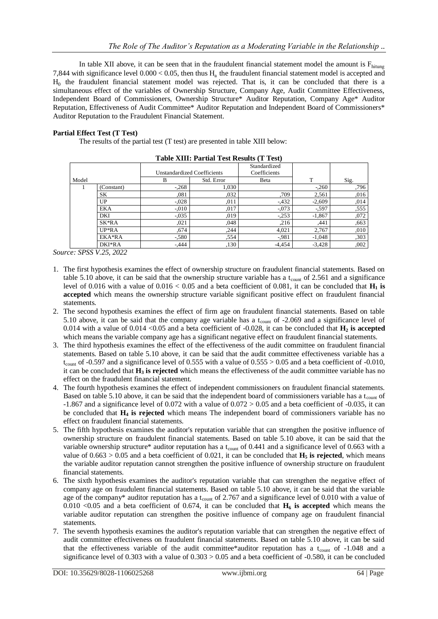In table XII above, it can be seen that in the fraudulent financial statement model the amount is  $F_{\text{hitung}}$ 7,844 with significance level  $0.000 < 0.05$ , then thus H<sub>a</sub> the fraudulent financial statement model is accepted and  $H<sub>0</sub>$  the fraudulent financial statement model was rejected. That is, it can be concluded that there is a simultaneous effect of the variables of Ownership Structure, Company Age, Audit Committee Effectiveness, Independent Board of Commissioners, Ownership Structure\* Auditor Reputation, Company Age\* Auditor Reputation, Effectiveness of Audit Committee\* Auditor Reputation and Independent Board of Commissioners\* Auditor Reputation to the Fraudulent Financial Statement.

## **Partial Effect Test (T Test)**

The results of the partial test (T test) are presented in table XIII below:

|       |            |                             |            | Standardized |          |      |
|-------|------------|-----------------------------|------------|--------------|----------|------|
|       |            | Unstandardized Coefficients |            | Coefficients |          |      |
| Model |            | В                           | Std. Error | Beta         | т        | Sig. |
|       | (Constant) | $-.268$                     | 1,030      |              | $-260$   | ,796 |
|       | SK         | .081                        | ,032       | .709         | 2,561    | ,016 |
|       | UP         | $-.028$                     | .011       | $-432$       | $-2,609$ | ,014 |
|       | EKA        | $-.010$                     | .017       | $-.073$      | $-597$   | ,555 |
|       | DKI        | $-0.035$                    | ,019       | $-.253$      | $-1,867$ | ,072 |
|       | SK*RA      | ,021                        | .048       | .216         | ,441     | ,663 |
|       | $UP*RA$    | .674                        | ,244       | 4,021        | 2.767    | ,010 |
|       | EKA*RA     | $-580$                      | .554       | $-981$       | $-1,048$ | ,303 |
|       | DKI*RA     | $-444$                      | ,130       | $-4,454$     | $-3,428$ | ,002 |

**Table XIII: Partial Test Results (T Test)**

*Source: SPSS V.25, 2022*

- 1. The first hypothesis examines the effect of ownership structure on fraudulent financial statements. Based on table 5.10 above, it can be said that the ownership structure variable has a t<sub>count</sub> of 2.561 and a significance level of 0.016 with a value of  $0.016 < 0.05$  and a beta coefficient of 0.081, it can be concluded that  $\mathbf{H}_1$  is **accepted** which means the ownership structure variable significant positive effect on fraudulent financial statements.
- 2. The second hypothesis examines the effect of firm age on fraudulent financial statements. Based on table 5.10 above, it can be said that the company age variable has a  $t_{\text{count}}$  of -2.069 and a significance level of 0.014 with a value of 0.014  $\langle 0.05 \rangle$  and a beta coefficient of -0.028, it can be concluded that  $\mathbf{H}_2$  is accepted which means the variable company age has a significant negative effect on fraudulent financial statements.
- 3. The third hypothesis examines the effect of the effectiveness of the audit committee on fraudulent financial statements. Based on table 5.10 above, it can be said that the audit committee effectiveness variable has a  $t_{\text{count}}$  of -0.597 and a significance level of 0.555 with a value of 0.555 > 0.05 and a beta coefficient of -0.010, it can be concluded that **H<sup>3</sup> is rejected** which means the effectiveness of the audit committee variable has no effect on the fraudulent financial statement.
- 4. The fourth hypothesis examines the effect of independent commissioners on fraudulent financial statements. Based on table 5.10 above, it can be said that the independent board of commissioners variable has a t<sub>count</sub> of  $-1.867$  and a significance level of 0.072 with a value of 0.072 > 0.05 and a beta coefficient of  $-0.035$ , it can be concluded that **H<sup>4</sup> is rejected** which means The independent board of commissioners variable has no effect on fraudulent financial statements.
- 5. The fifth hypothesis examines the auditor's reputation variable that can strengthen the positive influence of ownership structure on fraudulent financial statements. Based on table 5.10 above, it can be said that the variable ownership structure\* auditor reputation has a t<sub>count</sub> of 0.441 and a significance level of 0.663 with a value of  $0.663 > 0.05$  and a beta coefficient of  $0.021$ , it can be concluded that **H<sub>5</sub>** is rejected, which means the variable auditor reputation cannot strengthen the positive influence of ownership structure on fraudulent financial statements.
- 6. The sixth hypothesis examines the auditor's reputation variable that can strengthen the negative effect of company age on fraudulent financial statements. Based on table 5.10 above, it can be said that the variable age of the company\* auditor reputation has a t<sub>count</sub> of 2.767 and a significance level of 0.010 with a value of 0.010 <0.05 and a beta coefficient of 0.674, it can be concluded that  $H_6$  is accepted which means the variable auditor reputation can strengthen the positive influence of company age on fraudulent financial statements.
- 7. The seventh hypothesis examines the auditor's reputation variable that can strengthen the negative effect of audit committee effectiveness on fraudulent financial statements. Based on table 5.10 above, it can be said that the effectiveness variable of the audit committee\*auditor reputation has a t<sub>count</sub> of -1.048 and a significance level of  $0.303$  with a value of  $0.303 > 0.05$  and a beta coefficient of  $-0.580$ , it can be concluded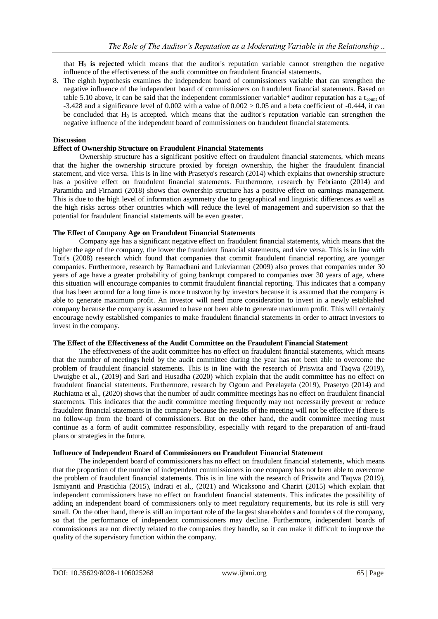that **H<sup>7</sup> is rejected** which means that the auditor's reputation variable cannot strengthen the negative influence of the effectiveness of the audit committee on fraudulent financial statements.

8. The eighth hypothesis examines the independent board of commissioners variable that can strengthen the negative influence of the independent board of commissioners on fraudulent financial statements. Based on table 5.10 above, it can be said that the independent commissioner variable\* auditor reputation has a t<sub>count</sub> of -3.428 and a significance level of  $0.002$  with a value of  $0.002 > 0.05$  and a beta coefficient of  $-0.444$ , it can be concluded that  $H_8$  is accepted. which means that the auditor's reputation variable can strengthen the negative influence of the independent board of commissioners on fraudulent financial statements.

## **Discussion**

## **Effect of Ownership Structure on Fraudulent Financial Statements**

Ownership structure has a significant positive effect on fraudulent financial statements, which means that the higher the ownership structure proxied by foreign ownership, the higher the fraudulent financial statement, and vice versa. This is in line with Prasetyo's research (2014) which explains that ownership structure has a positive effect on fraudulent financial statements. Furthermore, research by Febrianto (2014) and Paramitha and Firnanti (2018) shows that ownership structure has a positive effect on earnings management. This is due to the high level of information asymmetry due to geographical and linguistic differences as well as the high risks across other countries which will reduce the level of management and supervision so that the potential for fraudulent financial statements will be even greater.

#### **The Effect of Company Age on Fraudulent Financial Statements**

Company age has a significant negative effect on fraudulent financial statements, which means that the higher the age of the company, the lower the fraudulent financial statements, and vice versa. This is in line with Toit's (2008) research which found that companies that commit fraudulent financial reporting are younger companies. Furthermore, research by Ramadhani and Lukviarman (2009) also proves that companies under 30 years of age have a greater probability of going bankrupt compared to companies over 30 years of age, where this situation will encourage companies to commit fraudulent financial reporting. This indicates that a company that has been around for a long time is more trustworthy by investors because it is assumed that the company is able to generate maximum profit. An investor will need more consideration to invest in a newly established company because the company is assumed to have not been able to generate maximum profit. This will certainly encourage newly established companies to make fraudulent financial statements in order to attract investors to invest in the company.

## **The Effect of the Effectiveness of the Audit Committee on the Fraudulent Financial Statement**

The effectiveness of the audit committee has no effect on fraudulent financial statements, which means that the number of meetings held by the audit committee during the year has not been able to overcome the problem of fraudulent financial statements. This is in line with the research of Priswita and Taqwa (2019), Uwuigbe et al., (2019) and Sari and Husadha (2020) which explain that the audit committee has no effect on fraudulent financial statements. Furthermore, research by Ogoun and Perelayefa (2019), Prasetyo (2014) and Ruchiatna et al., (2020) shows that the number of audit committee meetings has no effect on fraudulent financial statements. This indicates that the audit committee meeting frequently may not necessarily prevent or reduce fraudulent financial statements in the company because the results of the meeting will not be effective if there is no follow-up from the board of commissioners. But on the other hand, the audit committee meeting must continue as a form of audit committee responsibility, especially with regard to the preparation of anti-fraud plans or strategies in the future.

#### **Influence of Independent Board of Commissioners on Fraudulent Financial Statement**

The independent board of commissioners has no effect on fraudulent financial statements, which means that the proportion of the number of independent commissioners in one company has not been able to overcome the problem of fraudulent financial statements. This is in line with the research of Priswita and Taqwa (2019), Ismiyanti and Prastichia (2015), Indrati et al., (2021) and Wicaksono and Chariri (2015) which explain that independent commissioners have no effect on fraudulent financial statements. This indicates the possibility of adding an independent board of commissioners only to meet regulatory requirements, but its role is still very small. On the other hand, there is still an important role of the largest shareholders and founders of the company, so that the performance of independent commissioners may decline. Furthermore, independent boards of commissioners are not directly related to the companies they handle, so it can make it difficult to improve the quality of the supervisory function within the company.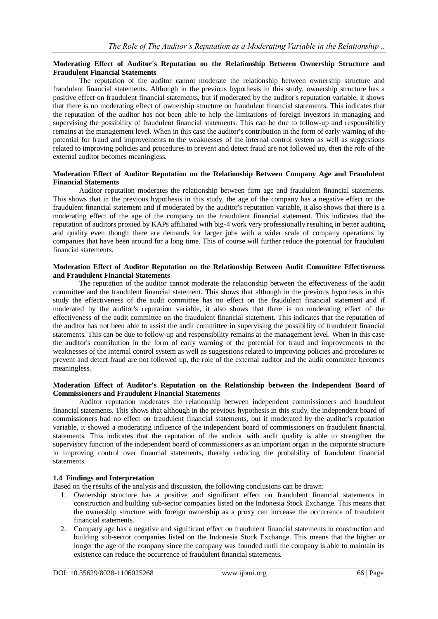## **Moderating Effect of Auditor's Reputation on the Relationship Between Ownership Structure and Fraudulent Financial Statements**

The reputation of the auditor cannot moderate the relationship between ownership structure and fraudulent financial statements. Although in the previous hypothesis in this study, ownership structure has a positive effect on fraudulent financial statements, but if moderated by the auditor's reputation variable, it shows that there is no moderating effect of ownership structure on fraudulent financial statements. This indicates that the reputation of the auditor has not been able to help the limitations of foreign investors in managing and supervising the possibility of fraudulent financial statements. This can be due to follow-up and responsibility remains at the management level. When in this case the auditor's contribution in the form of early warning of the potential for fraud and improvements to the weaknesses of the internal control system as well as suggestions related to improving policies and procedures to prevent and detect fraud are not followed up, then the role of the external auditor becomes meaningless.

## **Moderation Effect of Auditor Reputation on the Relationship Between Company Age and Fraudulent Financial Statements**

Auditor reputation moderates the relationship between firm age and fraudulent financial statements. This shows that in the previous hypothesis in this study, the age of the company has a negative effect on the fraudulent financial statement and if moderated by the auditor's reputation variable, it also shows that there is a moderating effect of the age of the company on the fraudulent financial statement. This indicates that the reputation of auditors proxied by KAPs affiliated with big-4 work very professionally resulting in better auditing and quality even though there are demands for larger jobs with a wider scale of company operations by companies that have been around for a long time. This of course will further reduce the potential for fraudulent financial statements.

#### **Moderation Effect of Auditor Reputation on the Relationship Between Audit Committee Effectiveness and Fraudulent Financial Statements**

The reputation of the auditor cannot moderate the relationship between the effectiveness of the audit committee and the fraudulent financial statement. This shows that although in the previous hypothesis in this study the effectiveness of the audit committee has no effect on the fraudulent financial statement and if moderated by the auditor's reputation variable, it also shows that there is no moderating effect of the effectiveness of the audit committee on the fraudulent financial statement. This indicates that the reputation of the auditor has not been able to assist the audit committee in supervising the possibility of fraudulent financial statements. This can be due to follow-up and responsibility remains at the management level. When in this case the auditor's contribution in the form of early warning of the potential for fraud and improvements to the weaknesses of the internal control system as well as suggestions related to improving policies and procedures to prevent and detect fraud are not followed up, the role of the external auditor and the audit committee becomes meaningless.

## **Moderation Effect of Auditor's Reputation on the Relationship between the Independent Board of Commissioners and Fraudulent Financial Statements**

Auditor reputation moderates the relationship between independent commissioners and fraudulent financial statements. This shows that although in the previous hypothesis in this study, the independent board of commissioners had no effect on fraudulent financial statements, but if moderated by the auditor's reputation variable, it showed a moderating influence of the independent board of commissioners on fraudulent financial statements. This indicates that the reputation of the auditor with audit quality is able to strengthen the supervisory function of the independent board of commissioners as an important organ in the corporate structure in improving control over financial statements, thereby reducing the probability of fraudulent financial statements.

# **1.4 Findings and Interpretation**

Based on the results of the analysis and discussion, the following conclusions can be drawn:

- 1. Ownership structure has a positive and significant effect on fraudulent financial statements in construction and building sub-sector companies listed on the Indonesia Stock Exchange. This means that the ownership structure with foreign ownership as a proxy can increase the occurrence of fraudulent financial statements.
- 2. Company age has a negative and significant effect on fraudulent financial statements in construction and building sub-sector companies listed on the Indonesia Stock Exchange. This means that the higher or longer the age of the company since the company was founded until the company is able to maintain its existence can reduce the occurrence of fraudulent financial statements.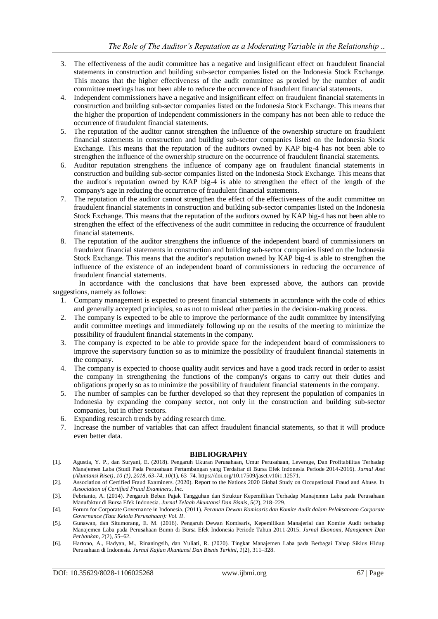- 3. The effectiveness of the audit committee has a negative and insignificant effect on fraudulent financial statements in construction and building sub-sector companies listed on the Indonesia Stock Exchange. This means that the higher effectiveness of the audit committee as proxied by the number of audit committee meetings has not been able to reduce the occurrence of fraudulent financial statements.
- 4. Independent commissioners have a negative and insignificant effect on fraudulent financial statements in construction and building sub-sector companies listed on the Indonesia Stock Exchange. This means that the higher the proportion of independent commissioners in the company has not been able to reduce the occurrence of fraudulent financial statements.
- 5. The reputation of the auditor cannot strengthen the influence of the ownership structure on fraudulent financial statements in construction and building sub-sector companies listed on the Indonesia Stock Exchange. This means that the reputation of the auditors owned by KAP big-4 has not been able to strengthen the influence of the ownership structure on the occurrence of fraudulent financial statements.
- 6. Auditor reputation strengthens the influence of company age on fraudulent financial statements in construction and building sub-sector companies listed on the Indonesia Stock Exchange. This means that the auditor's reputation owned by KAP big-4 is able to strengthen the effect of the length of the company's age in reducing the occurrence of fraudulent financial statements.
- 7. The reputation of the auditor cannot strengthen the effect of the effectiveness of the audit committee on fraudulent financial statements in construction and building sub-sector companies listed on the Indonesia Stock Exchange. This means that the reputation of the auditors owned by KAP big-4 has not been able to strengthen the effect of the effectiveness of the audit committee in reducing the occurrence of fraudulent financial statements.
- 8. The reputation of the auditor strengthens the influence of the independent board of commissioners on fraudulent financial statements in construction and building sub-sector companies listed on the Indonesia Stock Exchange. This means that the auditor's reputation owned by KAP big-4 is able to strengthen the influence of the existence of an independent board of commissioners in reducing the occurrence of fraudulent financial statements.

In accordance with the conclusions that have been expressed above, the authors can provide suggestions, namely as follows:

- 1. Company management is expected to present financial statements in accordance with the code of ethics and generally accepted principles, so as not to mislead other parties in the decision-making process.
- 2. The company is expected to be able to improve the performance of the audit committee by intensifying audit committee meetings and immediately following up on the results of the meeting to minimize the possibility of fraudulent financial statements in the company.
- 3. The company is expected to be able to provide space for the independent board of commissioners to improve the supervisory function so as to minimize the possibility of fraudulent financial statements in the company.
- 4. The company is expected to choose quality audit services and have a good track record in order to assist the company in strengthening the functions of the company's organs to carry out their duties and obligations properly so as to minimize the possibility of fraudulent financial statements in the company.
- 5. The number of samples can be further developed so that they represent the population of companies in Indonesia by expanding the company sector, not only in the construction and building sub-sector companies, but in other sectors.
- 6. Expanding research trends by adding research time.
- 7. Increase the number of variables that can affect fraudulent financial statements, so that it will produce even better data.

#### **BIBLIOGRAPHY**

- [1]. Agustia, Y. P., dan Suryani, E. (2018). Pengaruh Ukuran Perusahaan, Umur Perusahaan, Leverage, Dan Profitabilitas Terhadap Manajemen Laba (Studi Pada Perusahaan Pertambangan yang Terdaftar di Bursa Efek Indonesia Periode 2014-2016). *Jurnal Aset (Akuntansi Riset), 10 (1), 2018, 63-74*, *10*(1), 63–74. https://doi.org/10.17509/jaset.v10i1.12571.
- [2]. Association of Certified Fraud Examiners. (2020). Report to the Nations 2020 Global Study on Occupational Fraud and Abuse. In *Association of Certified Fraud Examiners, Inc.*
- [3]. Febrianto, A. (2014). Pengaruh Beban Pajak Tangguhan dan Struktur Kepemilikan Terhadap Manajemen Laba pada Perusahaan Manufaktur di Bursa Efek Indonesia. *Jurnal Telaah Akuntansi Dan Bisnis*, *5*(2), 218–229.
- [4]. Forum for Corporate Governance in Indonesia. (2011). *Peranan Dewan Komisaris dan Komite Audit dalam Pelaksanaan Corporate Governance (Tata Kelola Perusahaan): Vol. II*.
- [5]. Gunawan, dan Situmorang, E. M. (2016). Pengaruh Dewan Komisaris, Kepemilikan Manajerial dan Komite Audit terhadap Manajemen Laba pada Perusahaan Bumn di Bursa Efek Indonesia Periode Tahun 2011-2015. *Jurnal Ekonomi, Manajemen Dan Perbankan*, *2*(2), 55–62.
- [6]. Hartono, A., Hadyan, M., Rinaningsih, dan Yuliati, R. (2020). Tingkat Manajemen Laba pada Berbagai Tahap Siklus Hidup Perusahaan di Indonesia. *Jurnal Kajian Akuntansi Dan Bisnis Terkini*, *1*(2), 311–328.